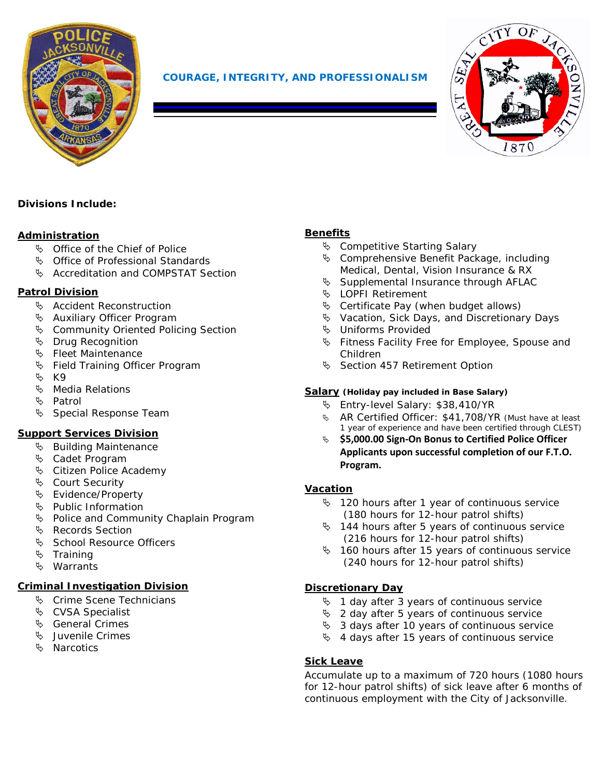

# **COURAGE, INTEGRITY, AND PROFESSIONALISM**



# **Divisions Include:**

#### **Administration**

- $\%$  Office of the Chief of Police
- $\%$  Office of Professional Standards
- **& Accreditation and COMPSTAT Section**

#### **Patrol Division**

- **& Accident Reconstruction**
- Auxiliary Officer Program
- Community Oriented Policing Section
- $\%$  Drug Recognition
- Fleet Maintenance
- **↓** Field Training Officer Program
- $48.59$
- **Wedia Relations**
- ৬ Patrol
- Special Response Team

## **Support Services Division**

- **Building Maintenance**
- Cadet Program
- & Citizen Police Academy
- $\%$  Court Security
- Evidence/Property
- **V** Public Information
- **S** Police and Community Chaplain Program
- **& Records Section**
- **School Resource Officers**
- **\** Training
- Warrants

## **Criminal Investigation Division**

- & Crime Scene Technicians
- CVSA Specialist
- **S** General Crimes
- Juvenile Crimes
- **W** Narcotics

## **Benefits**

- Competitive Starting Salary
- Comprehensive Benefit Package, including Medical, Dental, Vision Insurance & RX
- **Supplemental Insurance through AFLAC**
- $\%$  LOPFI Retirement
- Certificate Pay (when budget allows)
- Vacation, Sick Days, and Discretionary Days
- Uniforms Provided
- Fitness Facility Free for Employee, Spouse and Children
- Section 457 Retirement Option

## **Salary (Holiday pay included in Base Salary)**

- Entry-level Salary: \$38,410/YR
- AR Certified Officer: \$41,708/YR (Must have at least 1 year of experience and have been certified through CLEST)
- **\$5,000.00 Sign-On Bonus to Certified Police Officer Applicants upon successful completion of our F.T.O. Program.**

## **Vacation**

- $\%$  120 hours after 1 year of continuous service (180 hours for 12-hour patrol shifts)
- 144 hours after 5 years of continuous service (216 hours for 12-hour patrol shifts)
- 160 hours after 15 years of continuous service (240 hours for 12-hour patrol shifts)

## **Discretionary Day**

- 1 day after 3 years of continuous service
- $\%$  2 day after 5 years of continuous service
- $\%$  3 days after 10 years of continuous service
- $\%$  4 days after 15 years of continuous service

## **Sick Leave**

Accumulate up to a maximum of 720 hours (1080 hours for 12-hour patrol shifts) of sick leave after 6 months of continuous employment with the City of Jacksonville.